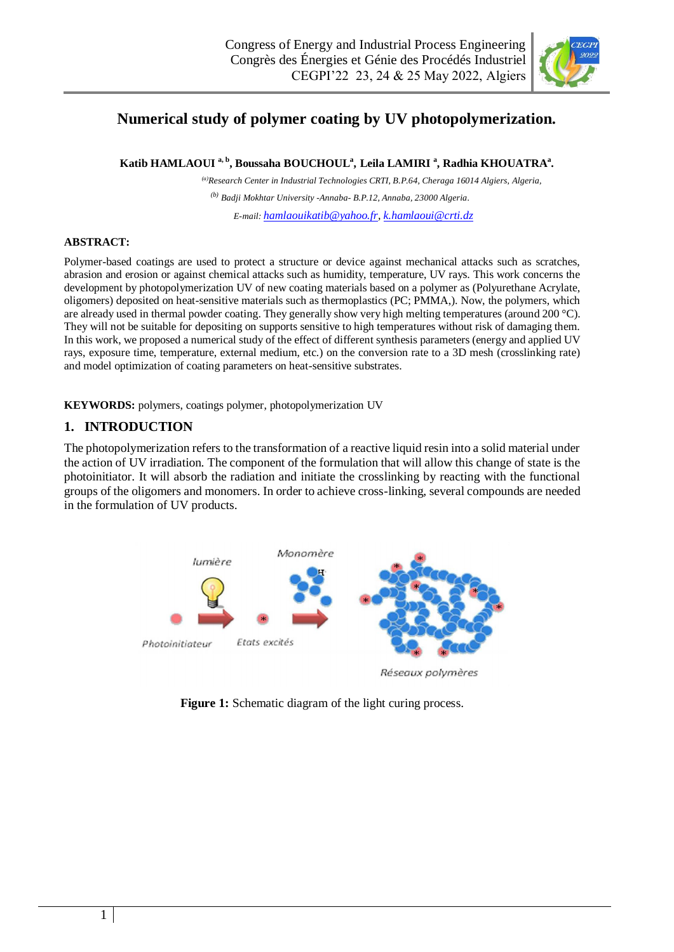

# **Numerical study of polymer coating by UV photopolymerization.**

**Katib HAMLAOUI a, b, Boussaha BOUCHOUL<sup>a</sup> , Leila LAMIRI <sup>a</sup> , Radhia KHOUATRA<sup>a</sup> .**

*(a)Research Center in Industrial Technologies CRTI, B.P.64, Cheraga 16014 Algiers, Algeria, (b) Badji Mokhtar University -Annaba- B.P.12, Annaba, 23000 Algeria. E-mail: [hamlaouikatib@yahoo.fr,](mailto:hamlaouikatib@yahoo.fr) [k.hamlaoui@crti.dz](mailto:k.hamlaoui@crti.dz)*

#### **ABSTRACT:**

Polymer-based coatings are used to protect a structure or device against mechanical attacks such as scratches, abrasion and erosion or against chemical attacks such as humidity, temperature, UV rays. This work concerns the development by photopolymerization UV of new coating materials based on a polymer as (Polyurethane Acrylate, oligomers) deposited on heat-sensitive materials such as thermoplastics (PC; PMMA,). Now, the polymers, which are already used in thermal powder coating. They generally show very high melting temperatures (around 200 °C). They will not be suitable for depositing on supports sensitive to high temperatures without risk of damaging them. In this work, we proposed a numerical study of the effect of different synthesis parameters (energy and applied UV rays, exposure time, temperature, external medium, etc.) on the conversion rate to a 3D mesh (crosslinking rate) and model optimization of coating parameters on heat-sensitive substrates.

**KEYWORDS:** polymers, coatings polymer, photopolymerization UV

### **1. INTRODUCTION**

The photopolymerization refers to the transformation of a reactive liquid resin into a solid material under the action of UV irradiation. The component of the formulation that will allow this change of state is the photoinitiator. It will absorb the radiation and initiate the crosslinking by reacting with the functional groups of the oligomers and monomers. In order to achieve cross-linking, several compounds are needed in the formulation of UV products.



**Figure 1:** Schematic diagram of the light curing process.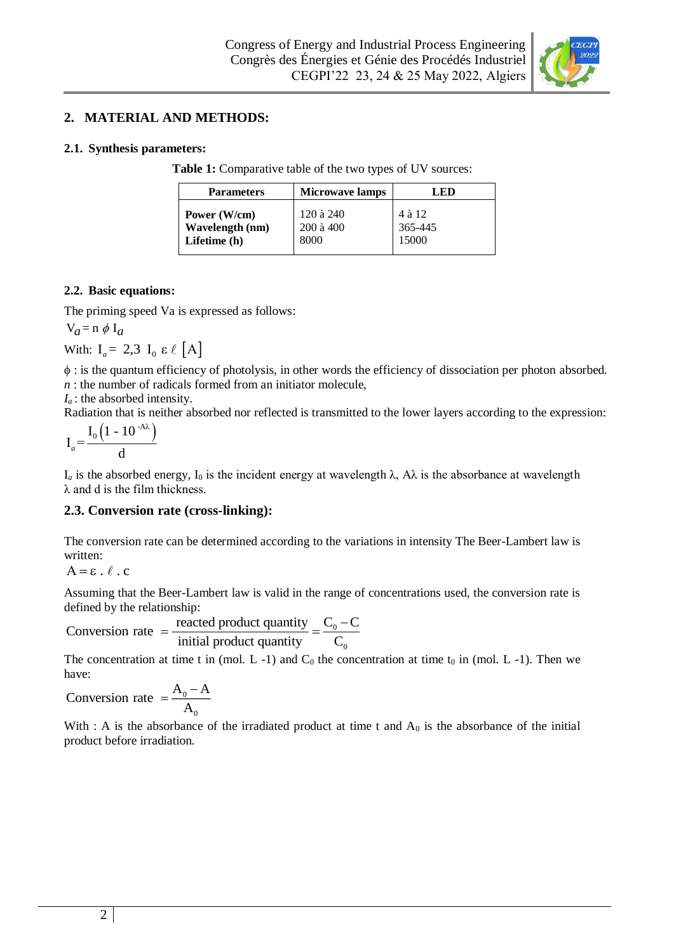

### **2. MATERIAL AND METHODS:**

### **2.1. Synthesis parameters:**

**Table 1:** Comparative table of the two types of UV sources:

| <b>Parameters</b> | <b>Microwave lamps</b> | LED     |
|-------------------|------------------------|---------|
| Power (W/cm)      | 120 à 240              | 4 à 12  |
| Wavelength (nm)   | $200$ à $400$          | 365-445 |
| Lifetime (h)      | 8000                   | 15000   |

### **2.2. Basic equations:**

The priming speed Va is expressed as follows:

$$
V_a = n \phi I_a
$$

With:  $I_a = 2.3 I_0 \varepsilon \ell [A]$ 

 : is the quantum efficiency of photolysis, in other words the efficiency of dissociation per photon absorbed. *n* : the number of radicals formed from an initiator molecule,

*I<sup>a</sup>* : the absorbed intensity.

Radiation that is neither absorbed nor reflected is transmitted to the lower layers according to the expression:

 $(1 - 10^{-AA})$  ${\rm I}_0$  (1 - 10 Ι = d *a*

 $I_a$  is the absorbed energy,  $I_0$  is the incident energy at wavelength  $\lambda$ ,  $A\lambda$  is the absorbance at wavelength  $\lambda$  and d is the film thickness.

### **2.3. Conversion rate (cross-linking):**

The conversion rate can be determined according to the variations in intensity The Beer-Lambert law is written:

 $A = \varepsilon \cdot \ell \cdot c$ 

Assuming that the Beer-Lambert law is valid in the range of concentrations used, the conversion rate is defined by the relationship:

$$
Conversion rate = \frac{\text{reacted product quantity}}{\text{initial product quantity}} = \frac{C_0 - C}{C_0}
$$

The concentration at time t in (mol.  $L - 1$ ) and  $C_0$  the concentration at time t<sub>0</sub> in (mol.  $L - 1$ ). Then we have:

0 0 Conversion rate  $=\frac{A_0 - A_0}{A}$ A  $=\frac{H_0 - H_0}{2}$ 

With : A is the absorbance of the irradiated product at time t and  $A_0$  is the absorbance of the initial product before irradiation.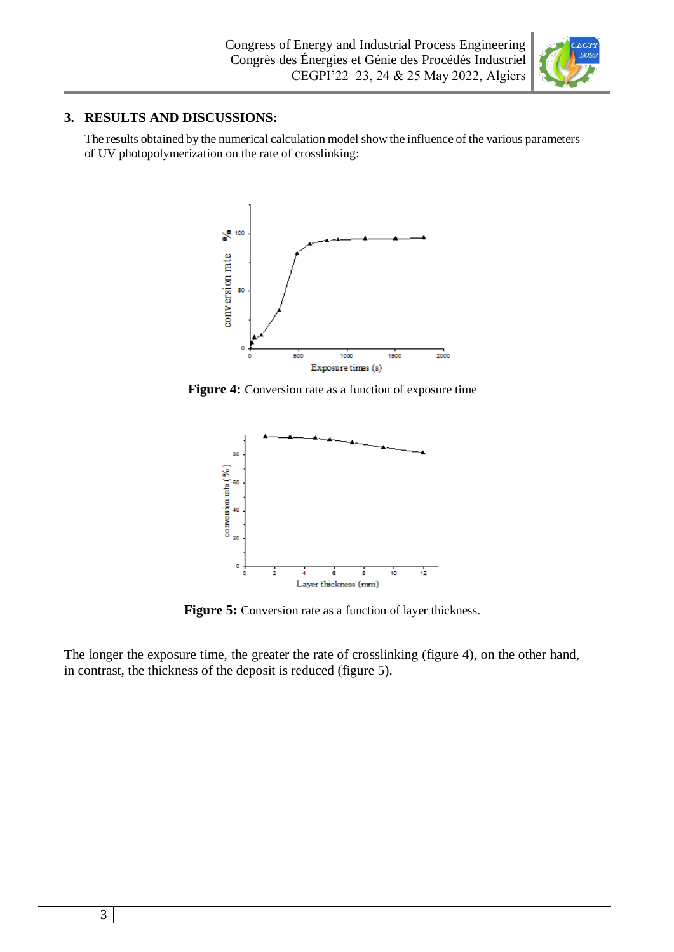

# **3. RESULTS AND DISCUSSIONS:**

The results obtained by the numerical calculation model show the influence of the various parameters of UV photopolymerization on the rate of crosslinking:



Figure 4: Conversion rate as a function of exposure time



Figure 5: Conversion rate as a function of layer thickness.

The longer the exposure time, the greater the rate of crosslinking (figure 4), on the other hand, in contrast, the thickness of the deposit is reduced (figure 5).